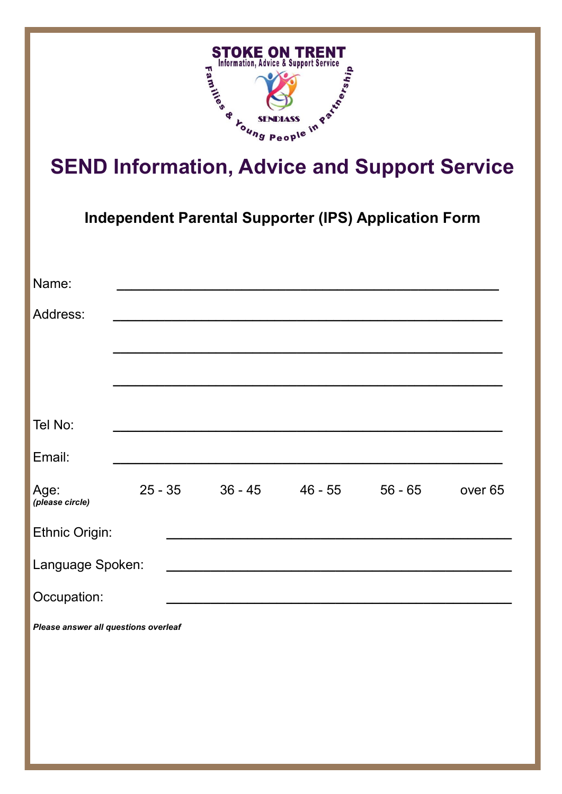

**Independent Parental Supporter (IPS) Application Form**

| Name:                                |           |  |         |                    |
|--------------------------------------|-----------|--|---------|--------------------|
| Address:                             |           |  |         |                    |
|                                      |           |  |         |                    |
|                                      |           |  |         |                    |
|                                      |           |  |         |                    |
| Tel No:                              |           |  |         |                    |
| Email:                               |           |  |         |                    |
| Age:<br>(please circle)              | $25 - 35$ |  | 56 - 65 | over <sub>65</sub> |
| Ethnic Origin:                       |           |  |         |                    |
| Language Spoken:                     |           |  |         |                    |
| Occupation:                          |           |  |         |                    |
| Please answer all questions overleaf |           |  |         |                    |